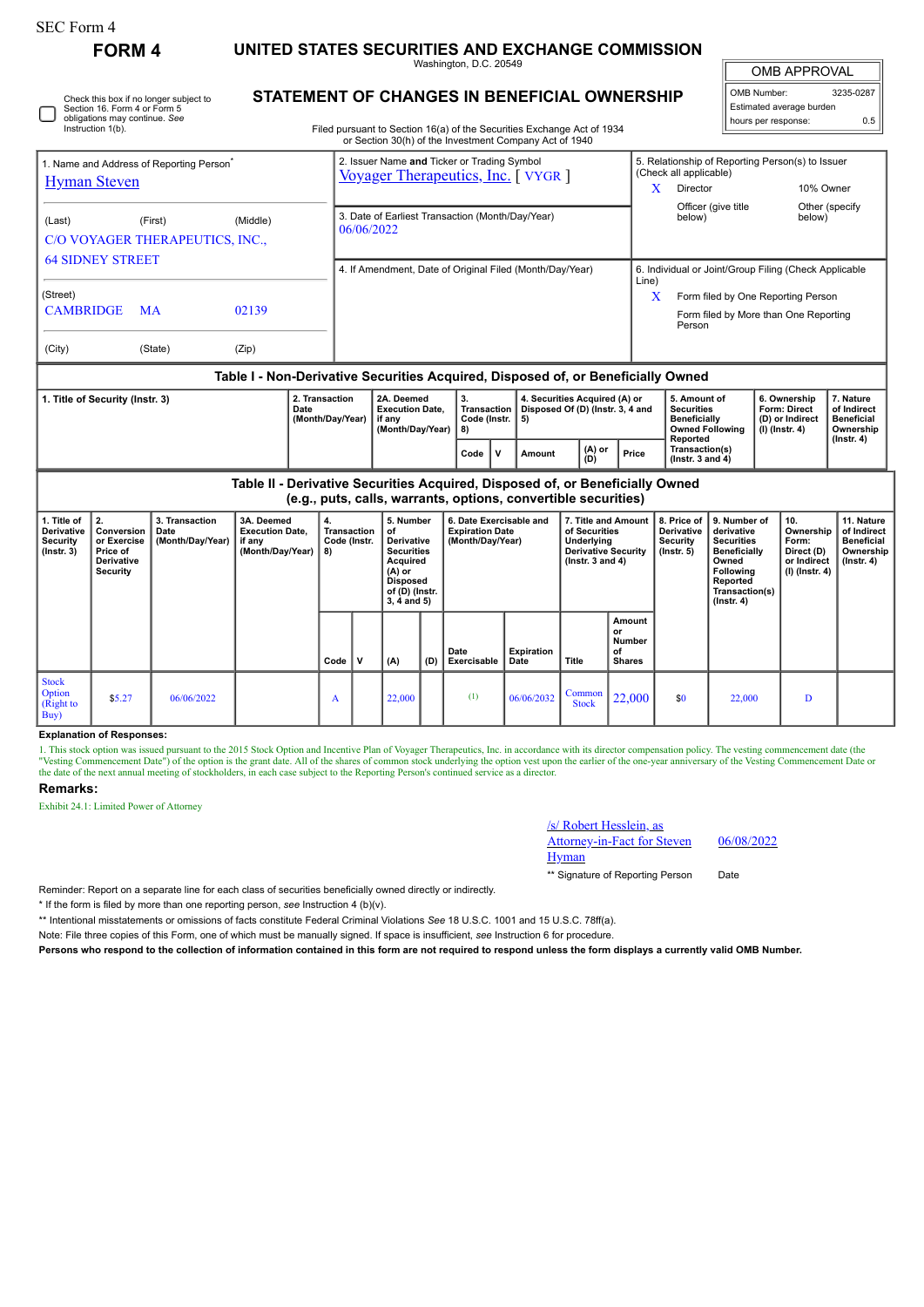| orm<br>ı<br>. . |  |
|-----------------|--|
|-----------------|--|

Check this box if no longer subject to Section 16. Form 4 or Form 5 obligations may continue. *See* Instruction 1(b).

**FORM 4 UNITED STATES SECURITIES AND EXCHANGE COMMISSION**

Washington, D.C. 20549 **STATEMENT OF CHANGES IN BENEFICIAL OWNERSHIP** OMB APPROVAL

 $\mathbb{I}$ 

| OMB Number:<br>3235-0287 |     |  |  |  |  |  |  |  |
|--------------------------|-----|--|--|--|--|--|--|--|
| Estimated average burden |     |  |  |  |  |  |  |  |
| hours per response:      | 0.5 |  |  |  |  |  |  |  |

Filed pursuant to Section 16(a) of the Securities Exchange Act of 1934 or Section 30(h) of the Investment Company Act of 1940

|                                                                                    |           |          |            | OF SECTION SOLITY OF THE INVESTMENT COMPANY ACT OF 1940                            |                           |                                                                                 |                                                                            |                                                          |                                                        |                                        |  |  |
|------------------------------------------------------------------------------------|-----------|----------|------------|------------------------------------------------------------------------------------|---------------------------|---------------------------------------------------------------------------------|----------------------------------------------------------------------------|----------------------------------------------------------|--------------------------------------------------------|----------------------------------------|--|--|
| 1. Name and Address of Reporting Person <sup>®</sup>                               |           |          |            | 2. Issuer Name and Ticker or Trading Symbol<br>Voyager Therapeutics, Inc. [ VYGR ] |                           |                                                                                 | 5. Relationship of Reporting Person(s) to Issuer<br>(Check all applicable) |                                                          |                                                        |                                        |  |  |
| <b>Hyman Steven</b>                                                                |           |          |            |                                                                                    |                           |                                                                                 | x                                                                          | Director                                                 | 10% Owner                                              |                                        |  |  |
| (Last)<br>C/O VOYAGER THERAPEUTICS, INC.,                                          | (First)   | (Middle) | 06/06/2022 | 3. Date of Earliest Transaction (Month/Day/Year)                                   |                           |                                                                                 |                                                                            | Officer (give title<br>below)                            | below)                                                 | Other (specify                         |  |  |
| <b>64 SIDNEY STREET</b>                                                            |           |          |            | 4. If Amendment, Date of Original Filed (Month/Day/Year)                           |                           |                                                                                 | 6. Individual or Joint/Group Filing (Check Applicable<br>Line)             |                                                          |                                                        |                                        |  |  |
| (Street)                                                                           |           |          |            |                                                                                    |                           |                                                                                 | X                                                                          | Form filed by One Reporting Person                       |                                                        |                                        |  |  |
| <b>CAMBRIDGE</b>                                                                   | <b>MA</b> | 02139    |            |                                                                                    |                           |                                                                                 |                                                                            | Form filed by More than One Reporting<br>Person          |                                                        |                                        |  |  |
| (City)                                                                             | (State)   | (Zip)    |            |                                                                                    |                           |                                                                                 |                                                                            |                                                          |                                                        |                                        |  |  |
| Table I - Non-Derivative Securities Acquired, Disposed of, or Beneficially Owned   |           |          |            |                                                                                    |                           |                                                                                 |                                                                            |                                                          |                                                        |                                        |  |  |
| 2. Transaction<br>1. Title of Security (Instr. 3)<br>Date<br>$(M$ onth $(Day/Var)$ |           |          |            | 2A. Deemed<br><b>Execution Date.</b><br>if any                                     | 3.<br>$Code$ (Inetr $ F $ | 4. Securities Acquired (A) or<br>Transaction   Disposed Of (D) (Instr. 3, 4 and |                                                                            | 5. Amount of<br><b>Securities</b><br><b>Reneficially</b> | 6. Ownership<br><b>Form: Direct</b><br>(D) or Indiract | 7. Nature<br>of Indirect<br>Ronoficial |  |  |

| (Month/Dav/Year) | ` if anv<br>(Month/Dav/Year) | Code (Instr.<br>1 8) | -51    |               |       | <b>Beneficially</b><br><b>Owned Following</b><br>Reported | (D) or Indirect<br>(I) (Instr. 4) | ' Beneficial<br>Ownership<br>$($ Instr. 4 $)$ |
|------------------|------------------------------|----------------------|--------|---------------|-------|-----------------------------------------------------------|-----------------------------------|-----------------------------------------------|
|                  |                              | Code                 | Amount | (A) or<br>(D) | Price | Transaction(s)<br>( $lnstr. 3$ and $4$ )                  |                                   |                                               |

**Table II - Derivative Securities Acquired, Disposed of, or Beneficially Owned (e.g., puts, calls, warrants, options, convertible securities)**

| 1. Title of<br>Derivative<br>Security<br>$($ lnstr. 3 $)$ | $\mathbf{2}$<br>Conversion<br>or Exercise<br>Price of<br>Derivative<br>Security | 3. Transaction<br>Date<br>(Month/Day/Year) | 3A. Deemed<br><b>Execution Date,</b><br>if any<br>(Month/Day/Year) | 4.<br>Transaction<br>Code (Instr.<br>8) |   | 5. Number<br>of<br><b>Derivative</b><br><b>Securities</b><br>Acquired<br>(A) or<br>Disposed<br>of (D) (Instr.<br>$3, 4$ and $5)$ |     | 6. Date Exercisable and<br><b>Expiration Date</b><br>(Month/Day/Year) |                    | 7. Title and Amount<br>of Securities<br>Underlying<br><b>Derivative Security</b><br>( $lnstr. 3 and 4$ ) |                                                      | 8. Price of<br><b>Derivative</b><br>Security<br>(Instr. 5) | 9. Number of<br>derivative<br><b>Securities</b><br><b>Beneficially</b><br>Owned<br>Following<br>Reported<br>Transaction(s)<br>$($ Instr. 4 $)$ | 10.<br>Ownership<br>Form:<br>Direct (D)<br>or Indirect<br>$(I)$ (Instr. 4) | 11. Nature<br>of Indirect<br><b>Beneficial</b><br>Ownership<br>$($ lnstr. 4 $)$ |
|-----------------------------------------------------------|---------------------------------------------------------------------------------|--------------------------------------------|--------------------------------------------------------------------|-----------------------------------------|---|----------------------------------------------------------------------------------------------------------------------------------|-----|-----------------------------------------------------------------------|--------------------|----------------------------------------------------------------------------------------------------------|------------------------------------------------------|------------------------------------------------------------|------------------------------------------------------------------------------------------------------------------------------------------------|----------------------------------------------------------------------------|---------------------------------------------------------------------------------|
|                                                           |                                                                                 |                                            |                                                                    | Code                                    | v | (A)                                                                                                                              | (D) | Date<br>Exercisable                                                   | Expiration<br>Date | Title                                                                                                    | Amount<br>or<br><b>Number</b><br>of<br><b>Shares</b> |                                                            |                                                                                                                                                |                                                                            |                                                                                 |
| <b>Stock</b><br>Option<br>(Right to<br>Buy)               | \$5.27                                                                          | 06/06/2022                                 |                                                                    | A                                       |   | 22,000                                                                                                                           |     | (1)                                                                   | 06/06/2032         | Common<br><b>Stock</b>                                                                                   | 22,000                                               | \$0                                                        | 22,000                                                                                                                                         | D                                                                          |                                                                                 |

### **Explanation of Responses:**

1. This stock option was issued pursuant to the 2015 Stock Option and Incentive Plan of Voyager Therapeutics, Inc. in accordance with its director compensation policy. The vesting commencement date (the "Vesting Commencement Date") of the option is the grant date. All of the shares of common stock underlying the option vest upon the earlier of the one-year anniversary of the Vesting Commencement Date or the date of the ne

### **Remarks:**

Exhibit 24.1: Limited Power of Attorney

# /s/ Robert Hesslein, as

Attorney-in-Fact for Steven **Hyman** 

06/08/2022

\*\* Signature of Reporting Person Date

Reminder: Report on a separate line for each class of securities beneficially owned directly or indirectly.

\* If the form is filed by more than one reporting person, *see* Instruction 4 (b)(v).

\*\* Intentional misstatements or omissions of facts constitute Federal Criminal Violations *See* 18 U.S.C. 1001 and 15 U.S.C. 78ff(a).

Note: File three copies of this Form, one of which must be manually signed. If space is insufficient, *see* Instruction 6 for procedure.

**Persons who respond to the collection of information contained in this form are not required to respond unless the form displays a currently valid OMB Number.**